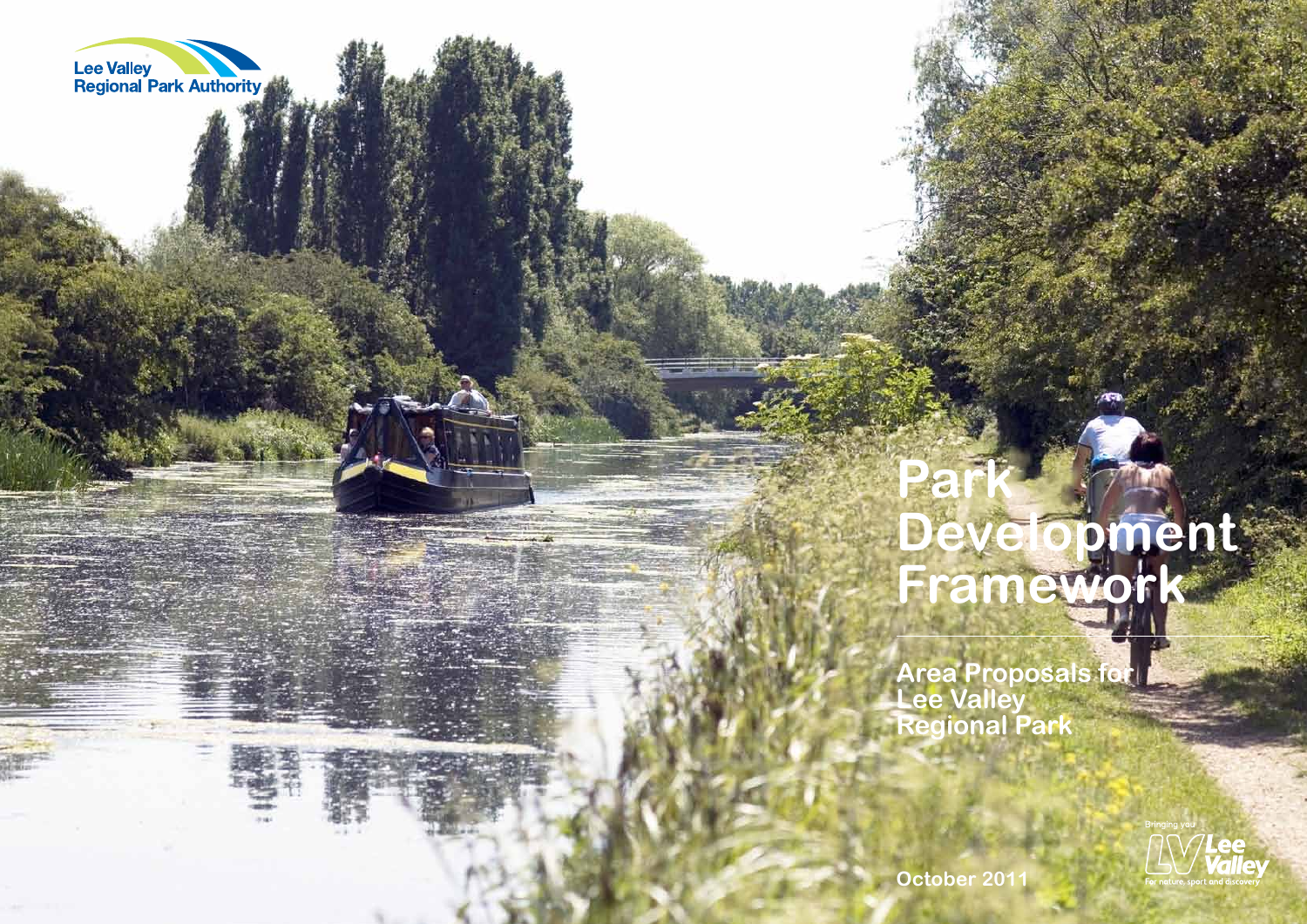

# **Park**

# **Development Framework**

**Area Proposals for**

**Lee Valley Regional Park**

**October 2011**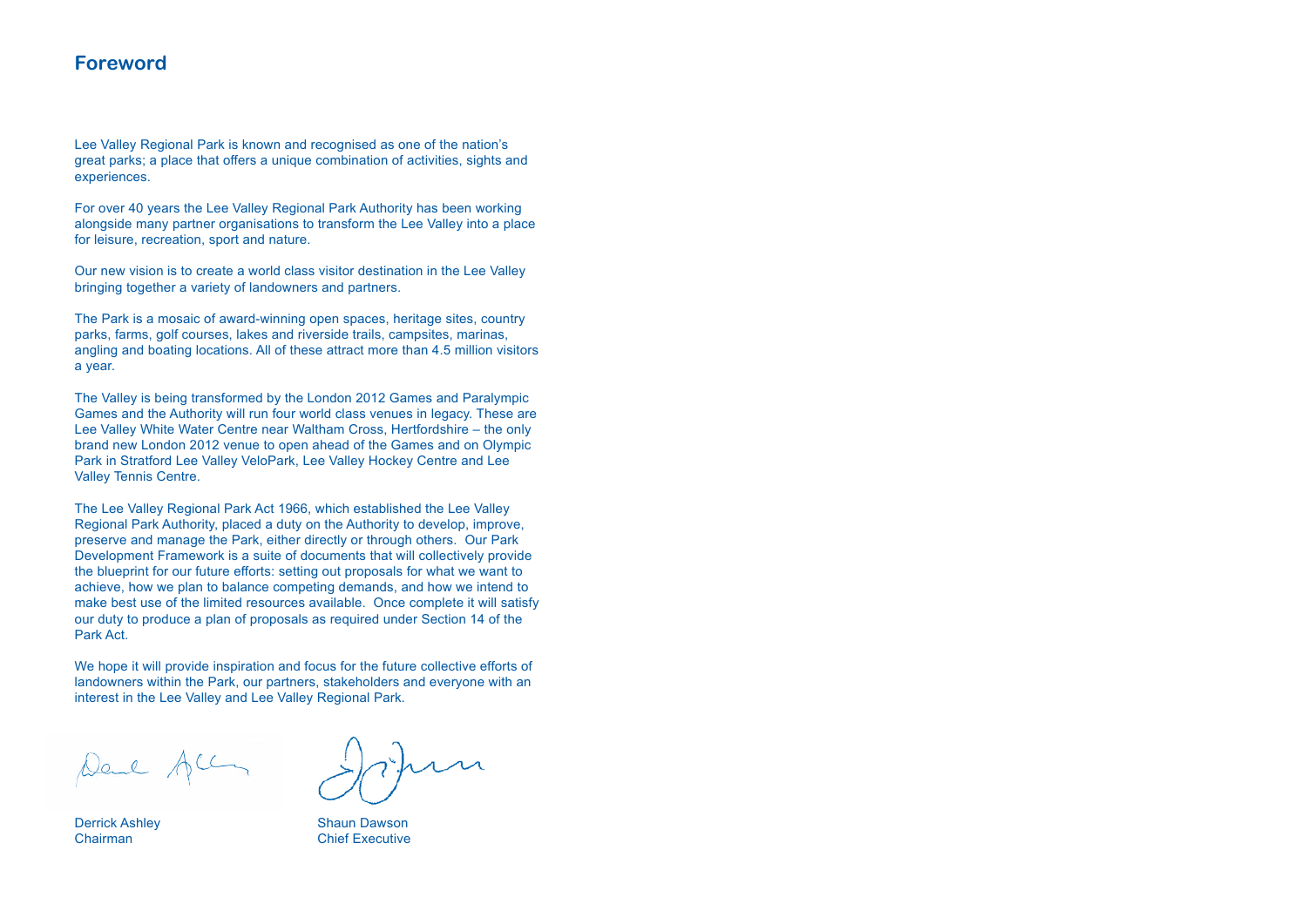### **Foreword**

Lee Valley Regional Park is known and recognised as one of the nation's great parks; a place that offers a unique combination of activities, sights and experiences.

For over 40 years the Lee Valley Regional Park Authority has been working alongside many partner organisations to transform the Lee Valley into a place for leisure, recreation, sport and nature.

Our new vision is to create a world class visitor destination in the Lee Valley bringing together a variety of landowners and partners.

The Park is a mosaic of award-winning open spaces, heritage sites, country parks, farms, golf courses, lakes and riverside trails, campsites, marinas, angling and boating locations. All of these attract more than 4.5 million visitors a year.

The Valley is being transformed by the London 2012 Games and Paralympic Games and the Authority will run four world class venues in legacy. These are Lee Valley White Water Centre near Waltham Cross, Hertfordshire – the only brand new London 2012 venue to open ahead of the Games and on Olympic Park in Stratford Lee Valley VeloPark, Lee Valley Hockey Centre and Lee Valley Tennis Centre.

The Lee Valley Regional Park Act 1966, which established the Lee Valley Regional Park Authority, placed a duty on the Authority to develop, improve, preserve and manage the Park, either directly or through others. Our Park Development Framework is a suite of documents that will collectively provide the blueprint for our future efforts: setting out proposals for what we want to achieve, how we plan to balance competing demands, and how we intend to make best use of the limited resources available. Once complete it will satisfy our duty to produce a plan of proposals as required under Section 14 of the Park Act.

We hope it will provide inspiration and focus for the future collective efforts of landowners within the Park, our partners, stakeholders and everyone with an interest in the Lee Valley and Lee Valley Regional Park.

Deul All

Derrick Ashley Chairman

Shaun Dawson Chief Executive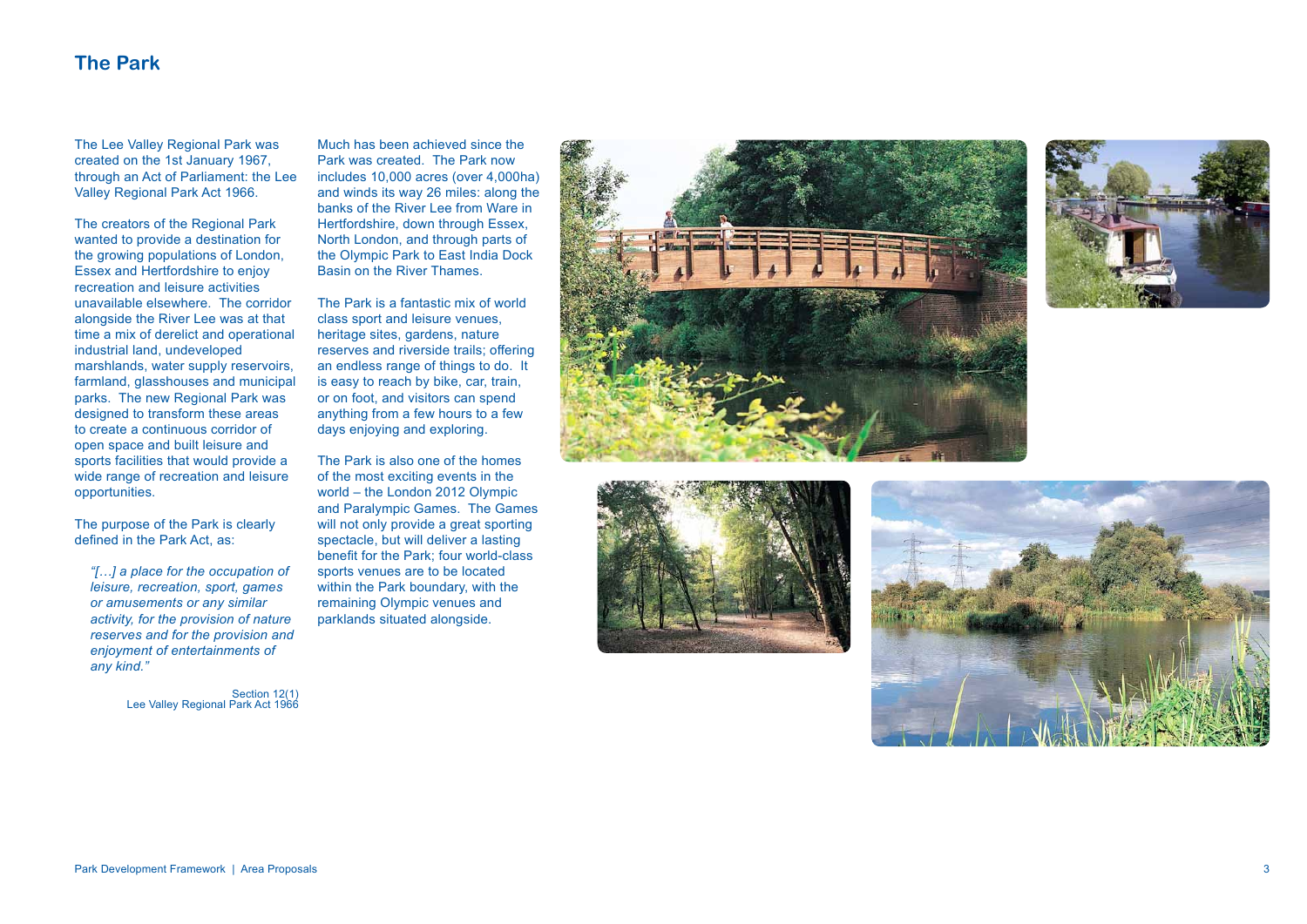



### **The Park**

The Lee Valley Regional Park was created on the 1st January 1967, through an Act of Parliament: the Lee Valley Regional Park Act 1966.

The creators of the Regional Park wanted to provide a destination for the growing populations of London, Essex and Hertfordshire to enjoy recreation and leisure activities unavailable elsewhere. The corridor alongside the River Lee was at that time a mix of derelict and operational industrial land, undeveloped marshlands, water supply reservoirs, farmland, glasshouses and municipal parks. The new Regional Park was designed to transform these areas to create a continuous corridor of open space and built leisure and sports facilities that would provide a wide range of recreation and leisure opportunities.

The purpose of the Park is clearly defined in the Park Act, as:

*"[…] a place for the occupation of leisure, recreation, sport, games or amusements or any similar activity, for the provision of nature reserves and for the provision and enjoyment of entertainments of any kind."*

> Section 12(1) Lee Valley Regional Park Act 1966

Much has been achieved since the Park was created. The Park now includes 10,000 acres (over 4,000ha) and winds its way 26 miles: along the banks of the River Lee from Ware in Hertfordshire, down through Essex, North London, and through parts of the Olympic Park to East India Dock Basin on the River Thames.

The Park is a fantastic mix of world class sport and leisure venues, heritage sites, gardens, nature reserves and riverside trails; offering an endless range of things to do. It is easy to reach by bike, car, train, or on foot, and visitors can spend anything from a few hours to a few days enjoying and exploring.

The Park is also one of the homes of the most exciting events in the world – the London 2012 Olympic and Paralympic Games. The Games will not only provide a great sporting spectacle, but will deliver a lasting benefit for the Park; four world-class sports venues are to be located within the Park boundary, with the remaining Olympic venues and parklands situated alongside.





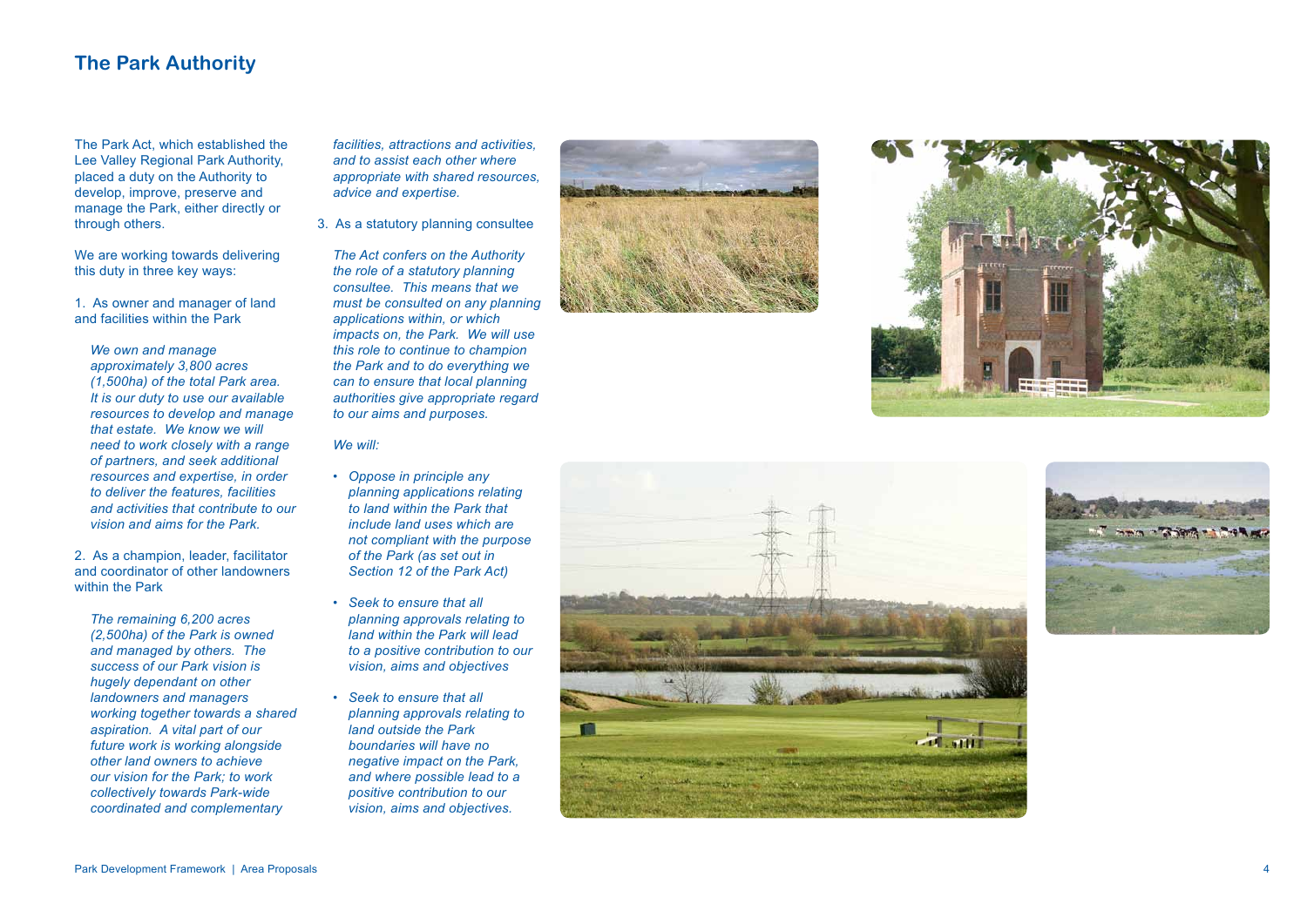

## **The Park Authority**

We are working towards delivering this duty in three key ways:

The Park Act, which established the Lee Valley Regional Park Authority, placed a duty on the Authority to develop, improve, preserve and manage the Park, either directly or through others.

1. As owner and manager of land and facilities within the Park

*We own and manage approximately 3,800 acres (1,500ha) of the total Park area. It is our duty to use our available resources to develop and manage that estate. We know we will need to work closely with a range of partners, and seek additional resources and expertise, in order to deliver the features, facilities and activities that contribute to our vision and aims for the Park.*

2. As a champion, leader, facilitator and coordinator of other landowners within the Park

*The remaining 6,200 acres (2,500ha) of the Park is owned and managed by others. The success of our Park vision is hugely dependant on other landowners and managers working together towards a shared aspiration. A vital part of our future work is working alongside other land owners to achieve our vision for the Park; to work collectively towards Park-wide coordinated and complementary* 

*facilities, attractions and activities, and to assist each other where appropriate with shared resources, advice and expertise.*

3. As a statutory planning consultee

*The Act confers on the Authority the role of a statutory planning consultee. This means that we must be consulted on any planning applications within, or which impacts on, the Park. We will use this role to continue to champion the Park and to do everything we can to ensure that local planning authorities give appropriate regard to our aims and purposes.* 

*We will:*

- *• Oppose in principle any planning applications relating to land within the Park that include land uses which are not compliant with the purpose of the Park (as set out in Section 12 of the Park Act)*
- *• Seek to ensure that all planning approvals relating to land within the Park will lead to a positive contribution to our vision, aims and objectives*
- *• Seek to ensure that all planning approvals relating to land outside the Park boundaries will have no negative impact on the Park, and where possible lead to a positive contribution to our vision, aims and objectives.*





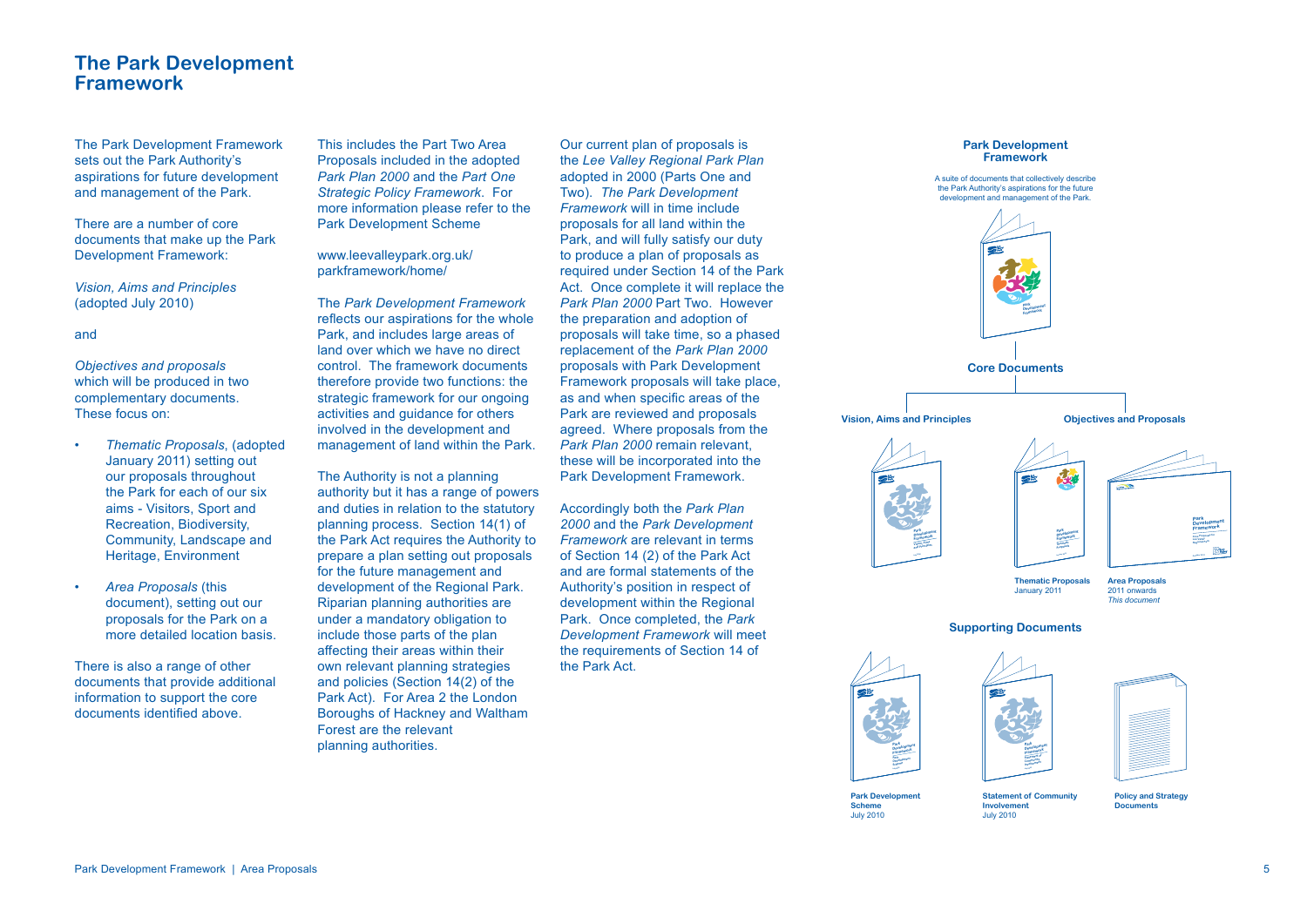### **The Park Development Framework**

The Park Development Framework sets out the Park Authority's aspirations for future development and management of the Park.

There are a number of core documents that make up the Park Development Framework:

*Vision, Aims and Principles* (adopted July 2010)

and

*Objectives and proposals* which will be produced in two complementary documents. These focus on:

- *Thematic Proposals*, (adopted January 2011) setting out our proposals throughout the Park for each of our six aims - Visitors, Sport and Recreation, Biodiversity, Community, Landscape and Heritage, Environment
- *Area Proposals* (this document), setting out our proposals for the Park on a more detailed location basis.

There is also a range of other documents that provide additional information to support the core documents identified above.

This includes the Part Two Area Proposals included in the adopted *Park Plan 2000* and the *Part One Strategic Policy Framework*. For more information please refer to the Park Development Scheme

www.leevalleypark.org.uk/ parkframework/home/

The *Park Development Framework* reflects our aspirations for the whole Park, and includes large areas of land over which we have no direct control. The framework documents therefore provide two functions: the strategic framework for our ongoing activities and guidance for others involved in the development and management of land within the Park.

> **Park Development Scheme**  July 2010

The Authority is not a planning authority but it has a range of powers and duties in relation to the statutory planning process. Section 14(1) of the Park Act requires the Authority to prepare a plan setting out proposals for the future management and development of the Regional Park. Riparian planning authorities are under a mandatory obligation to include those parts of the plan affecting their areas within their own relevant planning strategies and policies (Section 14(2) of the Park Act). For Area 2 the London Boroughs of Hackney and Waltham Forest are the relevant planning authorities.





A suite of documents that collectively describe the Park Authority's aspirations for the future development and management of the Park.



**Policy and Strategy Documents**

**Statement of Community Involvement Park Development Framework July 2010**



July 2010

**Park Park**<br>Development **Scheme Park Development Framework July 2010**

Our current plan of proposals is the *Lee Valley Regional Park Plan*  adopted in 2000 (Parts One and Two). *The Park Development Framework* will in time include proposals for all land within the Park, and will fully satisfy our duty to produce a plan of proposals as required under Section 14 of the Park Act. Once complete it will replace the *Park Plan 2000* Part Two. However the preparation and adoption of proposals will take time, so a phased replacement of the *Park Plan 2000*  proposals with Park Development Framework proposals will take place, as and when specific areas of the Park are reviewed and proposals agreed. Where proposals from the *Park Plan 2000* remain relevant, these will be incorporated into the Park Development Framework.

Accordingly both the *Park Plan 2000* and the *Park Development Framework* are relevant in terms of Section 14 (2) of the Park Act and are formal statements of the Authority's position in respect of development within the Regional Park. Once completed, the *Park Development Framework* will meet the requirements of Section 14 of the Park Act.